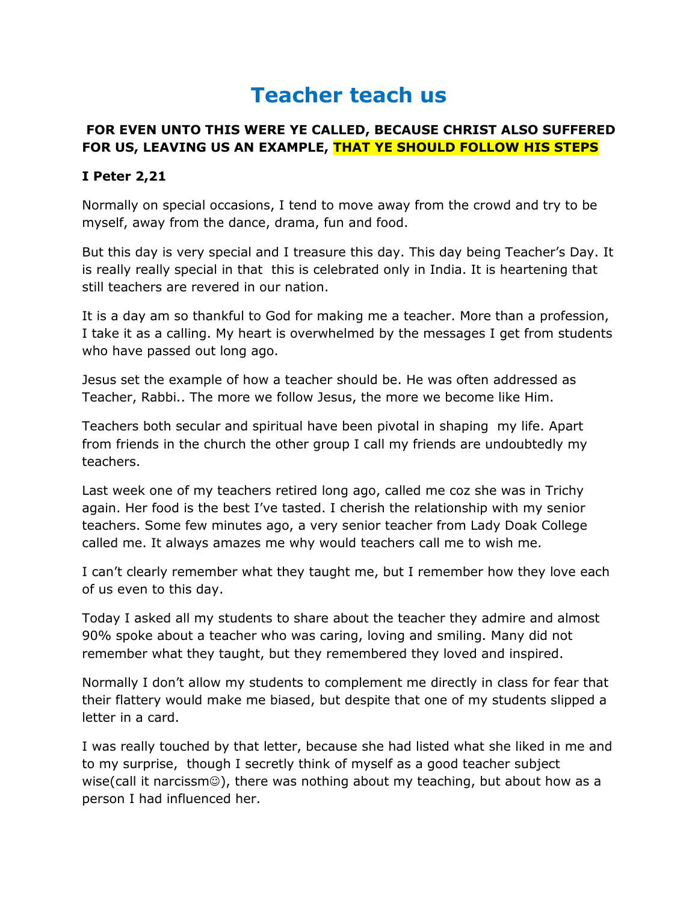## **Teacher teach us**

## **FOR EVEN UNTO THIS WERE YE CALLED, BECAUSE CHRIST ALSO SUFFERED FOR US, LEAVING US AN EXAMPLE, THAT YE SHOULD FOLLOW HIS STEPS**

## **I Peter 2,21**

Normally on special occasions, I tend to move away from the crowd and try to be myself, away from the dance, drama, fun and food.

But this day is very special and I treasure this day. This day being Teacher's Day. It is really really special in that this is celebrated only in India. It is heartening that still teachers are revered in our nation.

It is a day am so thankful to God for making me a teacher. More than a profession, I take it as a calling. My heart is overwhelmed by the messages I get from students who have passed out long ago.

Jesus set the example of how a teacher should be. He was often addressed as Teacher, Rabbi.. The more we follow Jesus, the more we become like Him.

Teachers both secular and spiritual have been pivotal in shaping my life. Apart from friends in the church the other group I call my friends are undoubtedly my teachers.

Last week one of my teachers retired long ago, called me coz she was in Trichy again. Her food is the best I've tasted. I cherish the relationship with my senior teachers. Some few minutes ago, a very senior teacher from Lady Doak College called me. It always amazes me why would teachers call me to wish me.

I can't clearly remember what they taught me, but I remember how they love each of us even to this day.

Today I asked all my students to share about the teacher they admire and almost 90% spoke about a teacher who was caring, loving and smiling. Many did not remember what they taught, but they remembered they loved and inspired.

Normally I don't allow my students to complement me directly in class for fear that their flattery would make me biased, but despite that one of my students slipped a letter in a card.

I was really touched by that letter, because she had listed what she liked in me and to my surprise, though I secretly think of myself as a good teacher subject wise(call it narcissm $\circledcirc$ ), there was nothing about my teaching, but about how as a person I had influenced her.